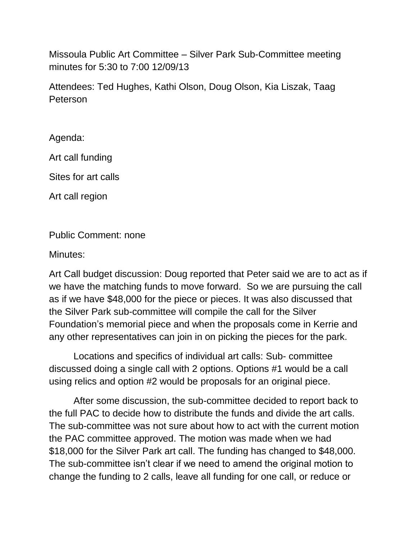Missoula Public Art Committee – Silver Park Sub-Committee meeting minutes for 5:30 to 7:00 12/09/13

Attendees: Ted Hughes, Kathi Olson, Doug Olson, Kia Liszak, Taag Peterson

Agenda:

Art call funding

Sites for art calls

Art call region

Public Comment: none

Minutes:

Art Call budget discussion: Doug reported that Peter said we are to act as if we have the matching funds to move forward. So we are pursuing the call as if we have \$48,000 for the piece or pieces. It was also discussed that the Silver Park sub-committee will compile the call for the Silver Foundation's memorial piece and when the proposals come in Kerrie and any other representatives can join in on picking the pieces for the park.

Locations and specifics of individual art calls: Sub- committee discussed doing a single call with 2 options. Options #1 would be a call using relics and option #2 would be proposals for an original piece.

After some discussion, the sub-committee decided to report back to the full PAC to decide how to distribute the funds and divide the art calls. The sub-committee was not sure about how to act with the current motion the PAC committee approved. The motion was made when we had \$18,000 for the Silver Park art call. The funding has changed to \$48,000. The sub-committee isn't clear if we need to amend the original motion to change the funding to 2 calls, leave all funding for one call, or reduce or